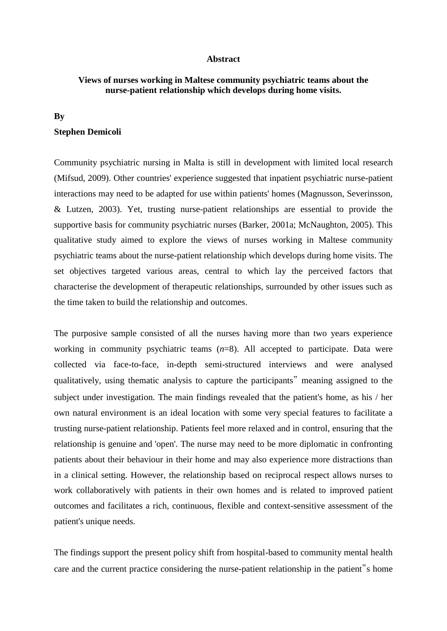## **Abstract**

## **Views of nurses working in Maltese community psychiatric teams about the nurse-patient relationship which develops during home visits.**

## **By**

## **Stephen Demicoli**

Community psychiatric nursing in Malta is still in development with limited local research (Mifsud, 2009). Other countries' experience suggested that inpatient psychiatric nurse-patient interactions may need to be adapted for use within patients' homes (Magnusson, Severinsson, & Lutzen, 2003). Yet, trusting nurse-patient relationships are essential to provide the supportive basis for community psychiatric nurses (Barker, 2001a; McNaughton, 2005). This qualitative study aimed to explore the views of nurses working in Maltese community psychiatric teams about the nurse-patient relationship which develops during home visits. The set objectives targeted various areas, central to which lay the perceived factors that characterise the development of therapeutic relationships, surrounded by other issues such as the time taken to build the relationship and outcomes.

The purposive sample consisted of all the nurses having more than two years experience working in community psychiatric teams (*n*=8). All accepted to participate. Data were collected via face-to-face, in-depth semi-structured interviews and were analysed qualitatively, using thematic analysis to capture the participants" meaning assigned to the subject under investigation. The main findings revealed that the patient's home, as his / her own natural environment is an ideal location with some very special features to facilitate a trusting nurse-patient relationship. Patients feel more relaxed and in control, ensuring that the relationship is genuine and 'open'. The nurse may need to be more diplomatic in confronting patients about their behaviour in their home and may also experience more distractions than in a clinical setting. However, the relationship based on reciprocal respect allows nurses to work collaboratively with patients in their own homes and is related to improved patient outcomes and facilitates a rich, continuous, flexible and context-sensitive assessment of the patient's unique needs.

The findings support the present policy shift from hospital-based to community mental health care and the current practice considering the nurse-patient relationship in the patient"s home